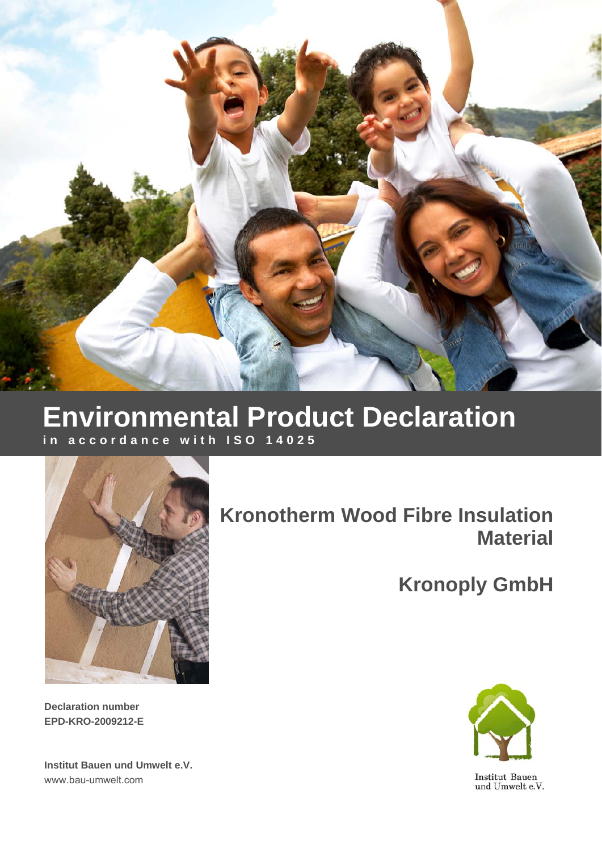

## **Environmental Product Declaration in accordance with ISO 14025**



# **Kronotherm Wood Fibre Insulation Material**

**Kronoply GmbH**



Institut Bauen<br>und Umwelt e.V.

**Declaration number EPD-KRO-2009212-E** 

**Institut Bauen und Umwelt e.V.**  www.bau-umwelt.com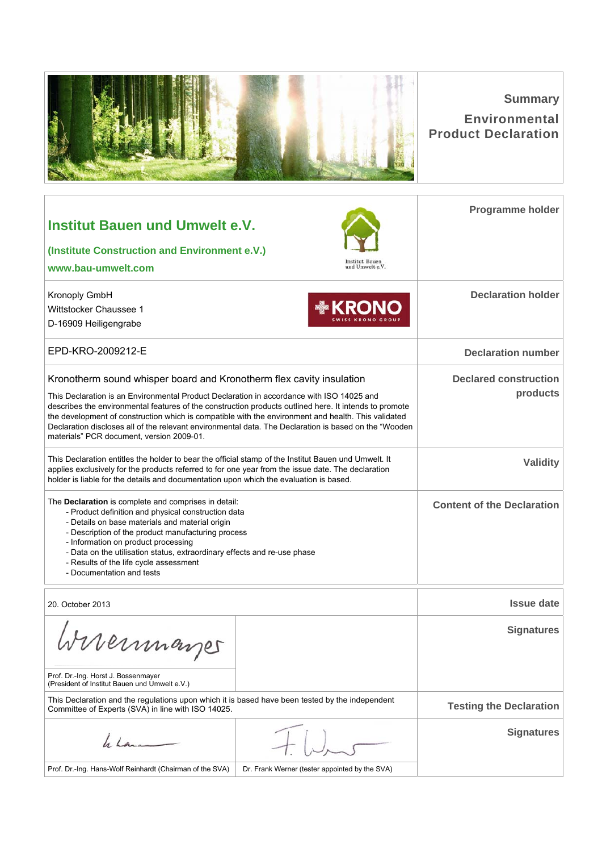|                                                                                                                                                                                                                                                                                                                                                                                                                                                                                                                                           |                                                | <b>Summary</b><br><b>Environmental</b><br><b>Product Declaration</b> |
|-------------------------------------------------------------------------------------------------------------------------------------------------------------------------------------------------------------------------------------------------------------------------------------------------------------------------------------------------------------------------------------------------------------------------------------------------------------------------------------------------------------------------------------------|------------------------------------------------|----------------------------------------------------------------------|
| <b>Institut Bauen und Umwelt e.V.</b><br>(Institute Construction and Environment e.V.)<br>www.bau-umwelt.com                                                                                                                                                                                                                                                                                                                                                                                                                              | Institut Bauen<br>und Umwelt e.V.              | Programme holder                                                     |
| Kronoply GmbH<br>Wittstocker Chaussee 1<br>D-16909 Heiligengrabe                                                                                                                                                                                                                                                                                                                                                                                                                                                                          | <b>MEKRONC</b>                                 | <b>Declaration holder</b>                                            |
| EPD-KRO-2009212-E                                                                                                                                                                                                                                                                                                                                                                                                                                                                                                                         |                                                | <b>Declaration number</b>                                            |
| Kronotherm sound whisper board and Kronotherm flex cavity insulation<br>This Declaration is an Environmental Product Declaration in accordance with ISO 14025 and<br>describes the environmental features of the construction products outlined here. It intends to promote<br>the development of construction which is compatible with the environment and health. This validated<br>Declaration discloses all of the relevant environmental data. The Declaration is based on the "Wooden"<br>materials" PCR document, version 2009-01. |                                                | <b>Declared construction</b><br>products                             |
| This Declaration entitles the holder to bear the official stamp of the Institut Bauen und Umwelt. It<br>applies exclusively for the products referred to for one year from the issue date. The declaration<br>holder is liable for the details and documentation upon which the evaluation is based.                                                                                                                                                                                                                                      |                                                | <b>Validity</b>                                                      |
| The Declaration is complete and comprises in detail:<br>- Product definition and physical construction data<br>- Details on base materials and material origin<br>- Description of the product manufacturing process<br>- Information on product processing<br>- Data on the utilisation status, extraordinary effects and re-use phase<br>- Results of the life cycle assessment<br>- Documentation and tests                                                                                                                            |                                                | <b>Content of the Declaration</b>                                    |
| 20. October 2013                                                                                                                                                                                                                                                                                                                                                                                                                                                                                                                          |                                                | <b>Issue date</b>                                                    |
| Wiermayes                                                                                                                                                                                                                                                                                                                                                                                                                                                                                                                                 |                                                | <b>Signatures</b>                                                    |
| Prof. Dr.-Ing. Horst J. Bossenmayer<br>(President of Institut Bauen und Umwelt e.V.)                                                                                                                                                                                                                                                                                                                                                                                                                                                      |                                                |                                                                      |
| This Declaration and the regulations upon which it is based have been tested by the independent<br>Committee of Experts (SVA) in line with ISO 14025.                                                                                                                                                                                                                                                                                                                                                                                     |                                                | <b>Testing the Declaration</b>                                       |
| h hama                                                                                                                                                                                                                                                                                                                                                                                                                                                                                                                                    |                                                | <b>Signatures</b>                                                    |
| Prof. Dr.-Ing. Hans-Wolf Reinhardt (Chairman of the SVA)                                                                                                                                                                                                                                                                                                                                                                                                                                                                                  | Dr. Frank Werner (tester appointed by the SVA) |                                                                      |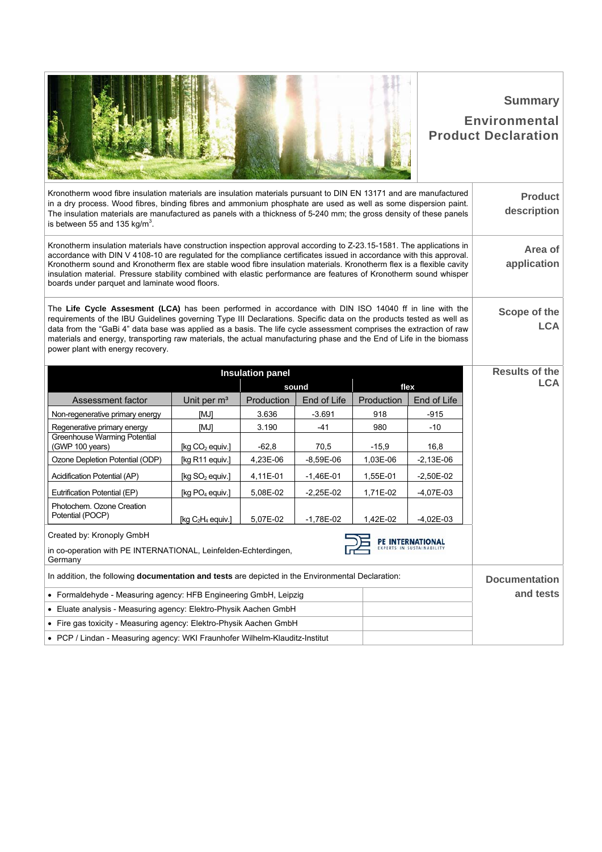|                                                                                                                                                                                                                                                                                                                                                                                                                                                                                                                                               |                             |                         |             |            |             | <b>Summary</b><br><b>Environmental</b><br><b>Product Declaration</b> |
|-----------------------------------------------------------------------------------------------------------------------------------------------------------------------------------------------------------------------------------------------------------------------------------------------------------------------------------------------------------------------------------------------------------------------------------------------------------------------------------------------------------------------------------------------|-----------------------------|-------------------------|-------------|------------|-------------|----------------------------------------------------------------------|
| Kronotherm wood fibre insulation materials are insulation materials pursuant to DIN EN 13171 and are manufactured<br>in a dry process. Wood fibres, binding fibres and ammonium phosphate are used as well as some dispersion paint.<br>The insulation materials are manufactured as panels with a thickness of 5-240 mm; the gross density of these panels<br>is between 55 and 135 $kg/m3$ .                                                                                                                                                |                             |                         |             |            |             | <b>Product</b><br>description                                        |
| Kronotherm insulation materials have construction inspection approval according to Z-23.15-1581. The applications in<br>accordance with DIN V 4108-10 are regulated for the compliance certificates issued in accordance with this approval.<br>Kronotherm sound and Kronotherm flex are stable wood fibre insulation materials. Kronotherm flex is a flexible cavity<br>insulation material. Pressure stability combined with elastic performance are features of Kronotherm sound whisper<br>boards under parquet and laminate wood floors. |                             |                         |             |            |             | Area of<br>application                                               |
| The Life Cycle Assesment (LCA) has been performed in accordance with DIN ISO 14040 ff in line with the<br>requirements of the IBU Guidelines governing Type III Declarations. Specific data on the products tested as well as<br>data from the "GaBi 4" data base was applied as a basis. The life cycle assessment comprises the extraction of raw<br>materials and energy, transporting raw materials, the actual manufacturing phase and the End of Life in the biomass<br>power plant with energy recovery.                               |                             |                         |             |            |             | Scope of the<br><b>LCA</b>                                           |
|                                                                                                                                                                                                                                                                                                                                                                                                                                                                                                                                               |                             |                         |             |            |             |                                                                      |
|                                                                                                                                                                                                                                                                                                                                                                                                                                                                                                                                               |                             | <b>Insulation panel</b> |             |            |             | <b>Results of the</b>                                                |
|                                                                                                                                                                                                                                                                                                                                                                                                                                                                                                                                               |                             |                         | sound       |            | flex        | <b>LCA</b>                                                           |
| Assessment factor                                                                                                                                                                                                                                                                                                                                                                                                                                                                                                                             | Unit per m <sup>3</sup>     | Production              | End of Life | Production | End of Life |                                                                      |
| Non-regenerative primary energy                                                                                                                                                                                                                                                                                                                                                                                                                                                                                                               | [MJ]                        | 3.636                   | $-3.691$    | 918        | $-915$      |                                                                      |
| Regenerative primary energy<br>Greenhouse Warming Potential                                                                                                                                                                                                                                                                                                                                                                                                                                                                                   | [MJ]                        | 3.190                   | -41         | 980        | $-10$       |                                                                      |
| (GWP 100 years)                                                                                                                                                                                                                                                                                                                                                                                                                                                                                                                               | [kg $CO2$ equiv.]           | $-62,8$                 | 70,5        | $-15,9$    | 16,8        |                                                                      |
| Ozone Depletion Potential (ODP)                                                                                                                                                                                                                                                                                                                                                                                                                                                                                                               | [kg R11 equiv.]             | 4,23E-06                | $-8,59E-06$ | 1,03E-06   | $-2,13E-06$ |                                                                      |
| Acidification Potential (AP)                                                                                                                                                                                                                                                                                                                                                                                                                                                                                                                  | [kg SO <sub>2</sub> equiv.] | 4,11E-01                | $-1,46E-01$ | 1,55E-01   | $-2,50E-02$ |                                                                      |
| Eutrification Potential (EP)                                                                                                                                                                                                                                                                                                                                                                                                                                                                                                                  | [kg $PO4$ equiv.]           | 5,08E-02                | $-2,25E-02$ | 1,71E-02   | $-4,07E-03$ |                                                                      |
| Photochem. Ozone Creation<br>Potential (POCP)                                                                                                                                                                                                                                                                                                                                                                                                                                                                                                 | [kg $C_2H_4$ equiv.]        | 5,07E-02                | $-1,78E-02$ | 1,42E-02   | $-4,02E-03$ |                                                                      |
| Created by: Kronoply GmbH<br>in co-operation with PE INTERNATIONAL, Leinfelden-Echterdingen,<br>Germany                                                                                                                                                                                                                                                                                                                                                                                                                                       |                             |                         |             |            |             |                                                                      |
| In addition, the following <b>documentation and tests</b> are depicted in the Environmental Declaration:                                                                                                                                                                                                                                                                                                                                                                                                                                      |                             |                         |             |            |             |                                                                      |
| • Formaldehyde - Measuring agency: HFB Engineering GmbH, Leipzig                                                                                                                                                                                                                                                                                                                                                                                                                                                                              |                             |                         |             |            |             | <b>Documentation</b><br>and tests                                    |
| • Eluate analysis - Measuring agency: Elektro-Physik Aachen GmbH                                                                                                                                                                                                                                                                                                                                                                                                                                                                              |                             |                         |             |            |             |                                                                      |
| • Fire gas toxicity - Measuring agency: Elektro-Physik Aachen GmbH                                                                                                                                                                                                                                                                                                                                                                                                                                                                            |                             |                         |             |            |             |                                                                      |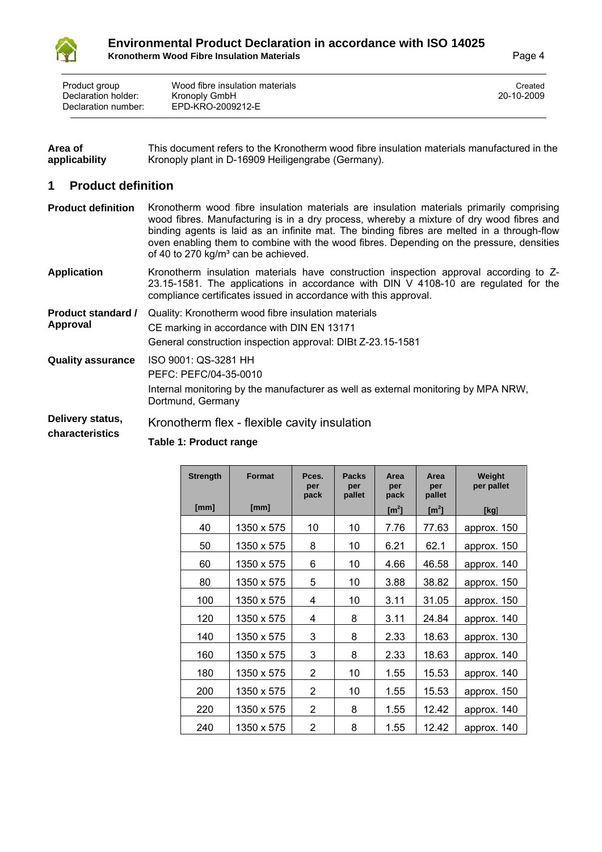

| Area of       | This document refers to the Kronotherm wood fibre insulation materials manufactured in the |
|---------------|--------------------------------------------------------------------------------------------|
| applicability | Kronoply plant in D-16909 Heiligengrabe (Germany).                                         |

## **1 Product definition**

| <b>Product definition</b>             | Kronotherm wood fibre insulation materials are insulation materials primarily comprising<br>wood fibres. Manufacturing is in a dry process, whereby a mixture of dry wood fibres and<br>binding agents is laid as an infinite mat. The binding fibres are melted in a through-flow<br>oven enabling them to combine with the wood fibres. Depending on the pressure, densities<br>of 40 to 270 kg/m <sup>3</sup> can be achieved. |
|---------------------------------------|-----------------------------------------------------------------------------------------------------------------------------------------------------------------------------------------------------------------------------------------------------------------------------------------------------------------------------------------------------------------------------------------------------------------------------------|
| <b>Application</b>                    | Kronotherm insulation materials have construction inspection approval according to Z-<br>23.15-1581. The applications in accordance with DIN V 4108-10 are regulated for the<br>compliance certificates issued in accordance with this approval.                                                                                                                                                                                  |
| <b>Product standard /</b><br>Approval | Quality: Kronotherm wood fibre insulation materials                                                                                                                                                                                                                                                                                                                                                                               |
|                                       | CE marking in accordance with DIN EN 13171                                                                                                                                                                                                                                                                                                                                                                                        |
|                                       | General construction inspection approval: DIBt Z-23.15-1581                                                                                                                                                                                                                                                                                                                                                                       |
| <b>Quality assurance</b>              | ISO 9001: QS-3281 HH                                                                                                                                                                                                                                                                                                                                                                                                              |
|                                       | PEFC: PEFC/04-35-0010                                                                                                                                                                                                                                                                                                                                                                                                             |
|                                       | Internal monitoring by the manufacturer as well as external monitoring by MPA NRW,<br>Dortmund, Germany                                                                                                                                                                                                                                                                                                                           |
| Delivery status,<br>characteristics   | Kronotherm flex - flexible cavity insulation                                                                                                                                                                                                                                                                                                                                                                                      |
|                                       |                                                                                                                                                                                                                                                                                                                                                                                                                                   |

| <b>Strength</b> | <b>Format</b> | Pces.<br>per<br>pack | <b>Packs</b><br>per<br>pallet | Area<br>per<br>pack   | Area<br>per<br>pallet | Weight<br>per pallet |
|-----------------|---------------|----------------------|-------------------------------|-----------------------|-----------------------|----------------------|
| [mm]            | [mm]          |                      |                               | $\text{[m}^2\text{]}$ | $\text{[m}^2\text{]}$ | [kg]                 |
| 40              | 1350 x 575    | 10                   | 10                            | 7.76                  | 77.63                 | approx. 150          |
| 50              | 1350 x 575    | 8                    | 10                            | 6.21                  | 62.1                  | approx. 150          |
| 60              | 1350 x 575    | 6                    | 10                            | 4.66                  | 46.58                 | approx. 140          |
| 80              | 1350 x 575    | 5                    | 10                            | 3.88                  | 38.82                 | approx. 150          |
| 100             | 1350 x 575    | 4                    | 10                            | 3.11                  | 31.05                 | approx. 150          |
| 120             | 1350 x 575    | 4                    | 8                             | 3.11                  | 24.84                 | approx. 140          |
| 140             | 1350 x 575    | 3                    | 8                             | 2.33                  | 18.63                 | approx. 130          |
| 160             | 1350 x 575    | 3                    | 8                             | 2.33                  | 18.63                 | approx. 140          |
| 180             | 1350 x 575    | 2                    | 10                            | 1.55                  | 15.53                 | approx. 140          |
| 200             | 1350 x 575    | $\overline{2}$       | 10                            | 1.55                  | 15.53                 | approx. 150          |
| 220             | 1350 x 575    | 2                    | 8                             | 1.55                  | 12.42                 | approx. 140          |
| 240             | 1350 x 575    | $\overline{2}$       | 8                             | 1.55                  | 12.42                 | approx. 140          |

**Table 1: Product range**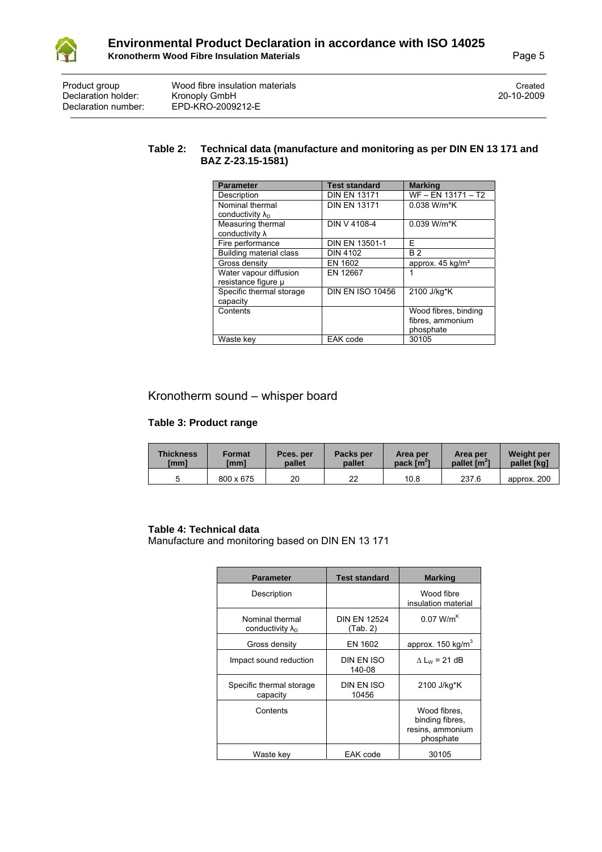

| Product group<br>Declaration holder:<br>Declaration number: | Wood fibre insulation materials<br>Kronoply GmbH<br>EPD-KRO-2009212-E | Created<br>20-10-2009 |
|-------------------------------------------------------------|-----------------------------------------------------------------------|-----------------------|
|                                                             |                                                                       |                       |

#### **Table 2: Technical data (manufacture and monitoring as per DIN EN 13 171 and BAZ Z-23.15-1581)**

| <b>Parameter</b>           | <b>Test standard</b>    | <b>Marking</b>               |
|----------------------------|-------------------------|------------------------------|
| Description                | <b>DIN EN 13171</b>     | WF - EN 13171 - T2           |
| Nominal thermal            | <b>DIN EN 13171</b>     | $0.038$ W/m*K                |
| conductivity $\lambda_{D}$ |                         |                              |
| Measuring thermal          | DIN V 4108-4            | 0.039 W/m*K                  |
| conductivity $\lambda$     |                         |                              |
| Fire performance           | <b>DIN EN 13501-1</b>   | F                            |
| Building material class    | <b>DIN 4102</b>         | <b>B2</b>                    |
| Gross density              | EN 1602                 | approx. 45 kg/m <sup>2</sup> |
| Water vapour diffusion     | EN 12667                |                              |
| resistance figure µ        |                         |                              |
| Specific thermal storage   | <b>DIN EN ISO 10456</b> | 2100 J/kg*K                  |
| capacity                   |                         |                              |
| Contents                   |                         | Wood fibres, binding         |
|                            |                         | fibres, ammonium             |
|                            |                         | phosphate                    |
| Waste key                  | EAK code                | 30105                        |

## Kronotherm sound – whisper board

#### **Table 3: Product range**

| <b>Thickness</b> | <b>Format</b> | Pces. per | Packs per | Area per               | Area per                 | <b>Weight per</b> |
|------------------|---------------|-----------|-----------|------------------------|--------------------------|-------------------|
| [mm]             | [mm]          | pallet    | pallet    | pack [m <sup>2</sup> ] | pallet [m <sup>2</sup> ] | pallet [kg]       |
|                  | 800 x 675     | 20        | 22        | 10.8                   | 237.6                    |                   |

#### **Table 4: Technical data**

Manufacture and monitoring based on DIN EN 13 171

| <b>Parameter</b>                              | <b>Test standard</b>            | <b>Marking</b>                                                   |
|-----------------------------------------------|---------------------------------|------------------------------------------------------------------|
| Description                                   |                                 | Wood fibre<br>insulation material                                |
| Nominal thermal<br>conductivity $\lambda_{D}$ | <b>DIN EN 12524</b><br>(Tab. 2) | $0.07$ W/m <sup>K</sup>                                          |
| Gross density                                 | EN 1602                         | approx. 150 kg/m <sup>3</sup>                                    |
| Impact sound reduction                        | DIN EN ISO<br>140-08            | $\Delta$ L <sub>w</sub> = 21 dB                                  |
| Specific thermal storage<br>capacity          | DIN EN ISO<br>10456             | 2100 J/kg*K                                                      |
| Contents                                      |                                 | Wood fibres,<br>binding fibres,<br>resins, ammonium<br>phosphate |
| Waste key                                     | EAK code                        | 30105                                                            |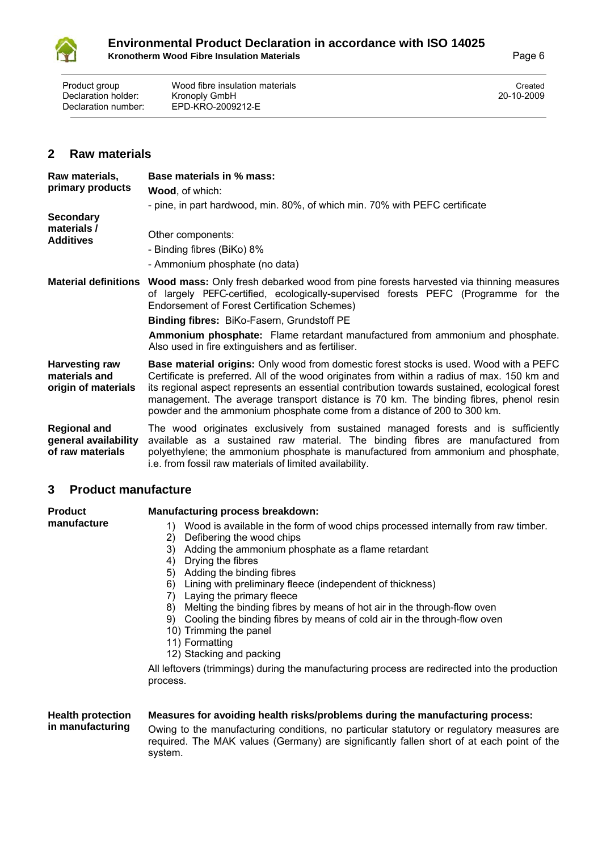

Product group Wood fibre insulation materials<br>
Declaration holder: Kronoply GmbH<br>
20-10-2009 Declaration holder:<br>Declaration number: EPD-KRO-2009212-E

## **2 Raw materials**

| Raw materials,<br>primary products<br><b>Secondary</b><br>materials /<br><b>Additives</b> | Base materials in % mass:<br><b>Wood, of which:</b><br>- pine, in part hardwood, min. 80%, of which min. 70% with PEFC certificate<br>Other components:                                                                                                                                                                                                                                                                                                             |
|-------------------------------------------------------------------------------------------|---------------------------------------------------------------------------------------------------------------------------------------------------------------------------------------------------------------------------------------------------------------------------------------------------------------------------------------------------------------------------------------------------------------------------------------------------------------------|
|                                                                                           | - Binding fibres (BiKo) 8%<br>- Ammonium phosphate (no data)                                                                                                                                                                                                                                                                                                                                                                                                        |
|                                                                                           | Material definitions Wood mass: Only fresh debarked wood from pine forests harvested via thinning measures<br>of largely PEFC-certified, ecologically-supervised forests PEFC (Programme for the<br>Endorsement of Forest Certification Schemes)                                                                                                                                                                                                                    |
|                                                                                           | <b>Binding fibres: BiKo-Fasern, Grundstoff PE</b>                                                                                                                                                                                                                                                                                                                                                                                                                   |
|                                                                                           | Ammonium phosphate: Flame retardant manufactured from ammonium and phosphate.<br>Also used in fire extinguishers and as fertiliser.                                                                                                                                                                                                                                                                                                                                 |
| <b>Harvesting raw</b><br>materials and<br>origin of materials                             | <b>Base material origins:</b> Only wood from domestic forest stocks is used. Wood with a PEFC<br>Certificate is preferred. All of the wood originates from within a radius of max. 150 km and<br>its regional aspect represents an essential contribution towards sustained, ecological forest<br>management. The average transport distance is 70 km. The binding fibres, phenol resin<br>powder and the ammonium phosphate come from a distance of 200 to 300 km. |
| <b>Regional and</b><br>general availability<br>of raw materials                           | The wood originates exclusively from sustained managed forests and is sufficiently<br>available as a sustained raw material. The binding fibres are manufactured from<br>polyethylene; the ammonium phosphate is manufactured from ammonium and phosphate,<br>i.e. from fossil raw materials of limited availability.                                                                                                                                               |

## **3 Product manufacture**

| <b>Product</b>           | Manufacturing process breakdown:                                                                                                                                                                                                                                                                                                                                                 |
|--------------------------|----------------------------------------------------------------------------------------------------------------------------------------------------------------------------------------------------------------------------------------------------------------------------------------------------------------------------------------------------------------------------------|
| manufacture              | Wood is available in the form of wood chips processed internally from raw timber.<br>1)<br>Defibering the wood chips<br>2)<br>Adding the ammonium phosphate as a flame retardant<br>3)<br>Drying the fibres<br>4)                                                                                                                                                                |
|                          | Adding the binding fibres<br>5)<br>Lining with preliminary fleece (independent of thickness)<br>6)<br>Laying the primary fleece<br>7)<br>Melting the binding fibres by means of hot air in the through-flow oven<br>8)<br>Cooling the binding fibres by means of cold air in the through-flow oven<br>9)<br>10) Trimming the panel<br>11) Formatting<br>12) Stacking and packing |
|                          | All leftovers (trimmings) during the manufacturing process are redirected into the production<br>process.                                                                                                                                                                                                                                                                        |
| <b>Health protection</b> | Measures for avoiding health risks/problems during the manufacturing process:                                                                                                                                                                                                                                                                                                    |

#### **in manufacturing** Owing to the manufacturing conditions, no particular statutory or regulatory measures are required. The MAK values (Germany) are significantly fallen short of at each point of the system.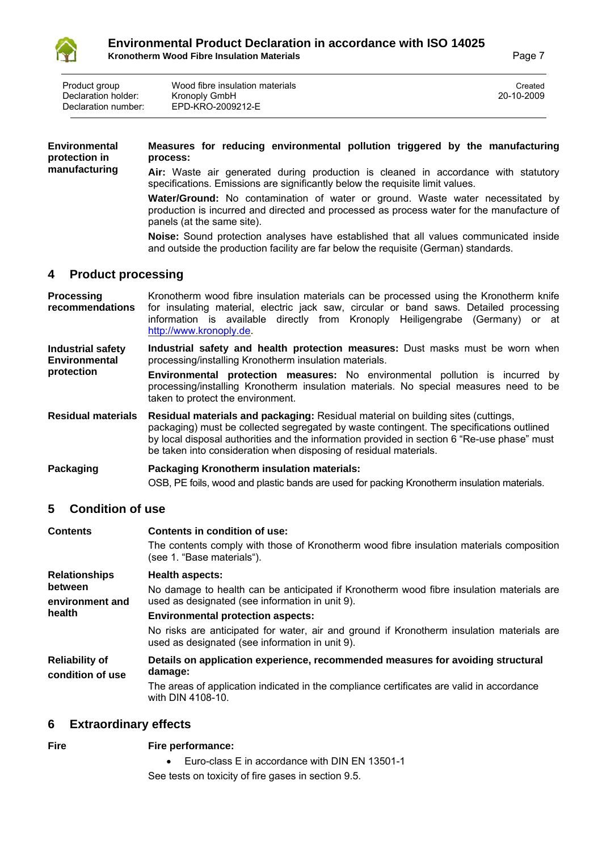

| Product group<br>Declaration holder:<br>Declaration number: | Wood fibre insulation materials<br>Kronoply GmbH<br>EPD-KRO-2009212-E | Created<br>20-10-2009 |
|-------------------------------------------------------------|-----------------------------------------------------------------------|-----------------------|
|                                                             |                                                                       |                       |
|                                                             |                                                                       |                       |

| <b>Environmental</b><br>protection in | Measures for reducing environmental pollution triggered by the manufacturing<br>process:                                                                                                                                                                                                     |  |  |
|---------------------------------------|----------------------------------------------------------------------------------------------------------------------------------------------------------------------------------------------------------------------------------------------------------------------------------------------|--|--|
| manufacturing                         | Air: Waste air generated during production is cleaned in accordance with statutory<br>specifications. Emissions are significantly below the requisite limit values.                                                                                                                          |  |  |
|                                       | Water/Ground: No contamination of water or ground. Waste water necessitated by<br>production is incurred and directed and processed as process water for the manufacture of<br>panels (at the same site).                                                                                    |  |  |
|                                       | <b>Noise:</b> Sound protection analyses have established that all values communicated inside<br>and outside the production facility are far below the requisite (German) standards.                                                                                                          |  |  |
| <b>Product processing</b><br>4        |                                                                                                                                                                                                                                                                                              |  |  |
| <b>Processing</b><br>recommendations  | Kronotherm wood fibre insulation materials can be processed using the Kronotherm knife<br>for insulating material, electric jack saw, circular or band saws. Detailed processing<br>information is available directly from Kronoply Heiligengrabe (Germany) or at<br>http://www.kronoply.de. |  |  |

**Industrial safety Environmental Industrial safety and health protection measures:** Dust masks must be worn when processing/installing Kronotherm insulation materials.

**protection Environmental protection measures:** No environmental pollution is incurred by processing/installing Kronotherm insulation materials. No special measures need to be taken to protect the environment.

**Residual materials Residual materials and packaging:** Residual material on building sites (cuttings, packaging) must be collected segregated by waste contingent. The specifications outlined by local disposal authorities and the information provided in section 6 "Re-use phase" must be taken into consideration when disposing of residual materials.

## **Packaging Packaging Kronotherm insulation materials:**  OSB, PE foils, wood and plastic bands are used for packing Kronotherm insulation materials.

## **5 Condition of use**

| <b>Contents</b>                           | Contents in condition of use:                                                                                                                |
|-------------------------------------------|----------------------------------------------------------------------------------------------------------------------------------------------|
|                                           | The contents comply with those of Kronotherm wood fibre insulation materials composition<br>(see 1. "Base materials").                       |
| <b>Relationships</b>                      | <b>Health aspects:</b>                                                                                                                       |
| between                                   | No damage to health can be anticipated if Kronotherm wood fibre insulation materials are                                                     |
| environment and                           | used as designated (see information in unit 9).                                                                                              |
| health                                    | <b>Environmental protection aspects:</b>                                                                                                     |
|                                           | No risks are anticipated for water, air and ground if Kronotherm insulation materials are<br>used as designated (see information in unit 9). |
| <b>Reliability of</b><br>condition of use | Details on application experience, recommended measures for avoiding structural<br>damage:                                                   |
|                                           | The areas of application indicated in the compliance certificates are valid in accordance<br>with DIN 4108-10.                               |

## **6 Extraordinary effects**

**Fire Fire performance:** 

 Euro-class E in accordance with DIN EN 13501-1 See tests on toxicity of fire gases in section 9.5.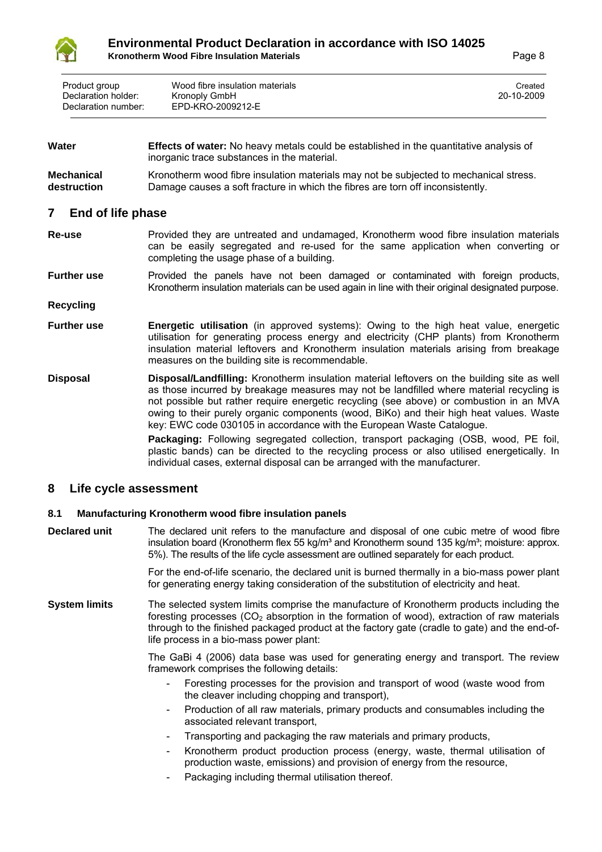

| Product group       | Wood fibre insulation materials | Created    |
|---------------------|---------------------------------|------------|
| Declaration holder: | Kronoply GmbH                   | 20-10-2009 |
| Declaration number: | EPD-KRO-2009212-E               |            |

| Water | <b>Effects of water:</b> No heavy metals could be established in the quantitative analysis of |
|-------|-----------------------------------------------------------------------------------------------|
|       | inorganic trace substances in the material.                                                   |

**Mechanical destruction** Kronotherm wood fibre insulation materials may not be subjected to mechanical stress. Damage causes a soft fracture in which the fibres are torn off inconsistently.

#### **7 End of life phase**

- **Re-use Provided they are untreated and undamaged, Kronotherm wood fibre insulation materials** can be easily segregated and re-used for the same application when converting or completing the usage phase of a building.
- **Further use** Provided the panels have not been damaged or contaminated with foreign products, Kronotherm insulation materials can be used again in line with their original designated purpose.
- **Recycling**
- **Further use Energetic utilisation** (in approved systems): Owing to the high heat value, energetic utilisation for generating process energy and electricity (CHP plants) from Kronotherm insulation material leftovers and Kronotherm insulation materials arising from breakage measures on the building site is recommendable.
- **Disposal Disposal/Landfilling:** Kronotherm insulation material leftovers on the building site as well as those incurred by breakage measures may not be landfilled where material recycling is not possible but rather require energetic recycling (see above) or combustion in an MVA owing to their purely organic components (wood, BiKo) and their high heat values. Waste key: EWC code 030105 in accordance with the European Waste Catalogue.

**Packaging:** Following segregated collection, transport packaging (OSB, wood, PE foil, plastic bands) can be directed to the recycling process or also utilised energetically. In individual cases, external disposal can be arranged with the manufacturer.

#### **8 Life cycle assessment**

#### **8.1 Manufacturing Kronotherm wood fibre insulation panels**

**Declared unit** The declared unit refers to the manufacture and disposal of one cubic metre of wood fibre insulation board (Kronotherm flex 55 kg/m<sup>3</sup> and Kronotherm sound 135 kg/m<sup>3</sup>; moisture: approx. 5%). The results of the life cycle assessment are outlined separately for each product.

> For the end-of-life scenario, the declared unit is burned thermally in a bio-mass power plant for generating energy taking consideration of the substitution of electricity and heat.

**System limits** The selected system limits comprise the manufacture of Kronotherm products including the foresting processes ( $CO<sub>2</sub>$  absorption in the formation of wood), extraction of raw materials through to the finished packaged product at the factory gate (cradle to gate) and the end-oflife process in a bio-mass power plant:

> The GaBi 4 (2006) data base was used for generating energy and transport. The review framework comprises the following details:

- Foresting processes for the provision and transport of wood (waste wood from the cleaver including chopping and transport),
- Production of all raw materials, primary products and consumables including the associated relevant transport,
- Transporting and packaging the raw materials and primary products,
- Kronotherm product production process (energy, waste, thermal utilisation of production waste, emissions) and provision of energy from the resource,
- Packaging including thermal utilisation thereof.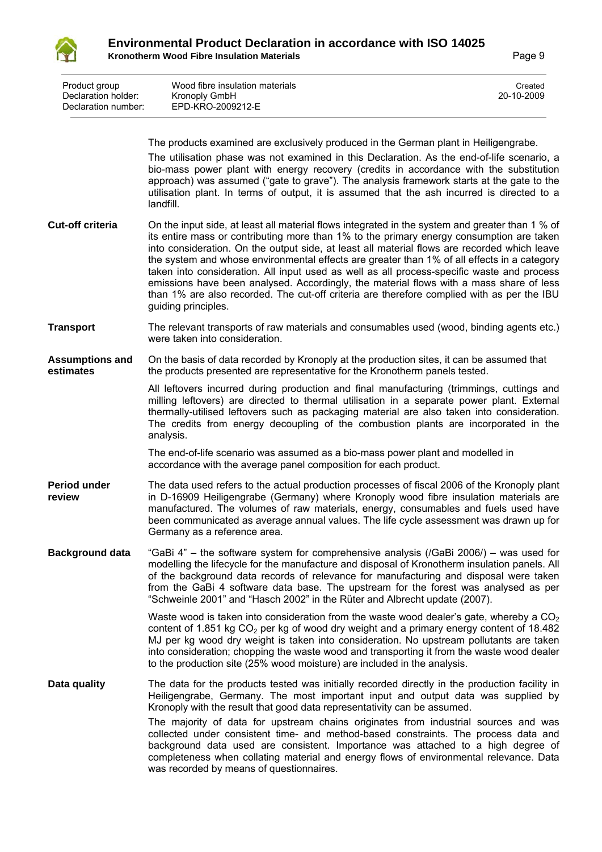

| Product group<br>Declaration holder:<br>Declaration number: | Wood fibre insulation materials<br>Kronoply GmbH<br>EPD-KRO-2009212-E                                                                                                                                                                                                                                                                                                                                                                                                                                                                                                                                                                                                                                                 | Created<br>20-10-2009 |
|-------------------------------------------------------------|-----------------------------------------------------------------------------------------------------------------------------------------------------------------------------------------------------------------------------------------------------------------------------------------------------------------------------------------------------------------------------------------------------------------------------------------------------------------------------------------------------------------------------------------------------------------------------------------------------------------------------------------------------------------------------------------------------------------------|-----------------------|
|                                                             | The products examined are exclusively produced in the German plant in Heiligengrabe.<br>The utilisation phase was not examined in this Declaration. As the end-of-life scenario, a<br>bio-mass power plant with energy recovery (credits in accordance with the substitution<br>approach) was assumed ("gate to grave"). The analysis framework starts at the gate to the<br>utilisation plant. In terms of output, it is assumed that the ash incurred is directed to a                                                                                                                                                                                                                                              |                       |
| <b>Cut-off criteria</b>                                     | landfill.<br>On the input side, at least all material flows integrated in the system and greater than 1 % of<br>its entire mass or contributing more than 1% to the primary energy consumption are taken<br>into consideration. On the output side, at least all material flows are recorded which leave<br>the system and whose environmental effects are greater than 1% of all effects in a category<br>taken into consideration. All input used as well as all process-specific waste and process<br>emissions have been analysed. Accordingly, the material flows with a mass share of less<br>than 1% are also recorded. The cut-off criteria are therefore complied with as per the IBU<br>guiding principles. |                       |
| <b>Transport</b>                                            | The relevant transports of raw materials and consumables used (wood, binding agents etc.)<br>were taken into consideration.                                                                                                                                                                                                                                                                                                                                                                                                                                                                                                                                                                                           |                       |
| <b>Assumptions and</b><br>estimates                         | On the basis of data recorded by Kronoply at the production sites, it can be assumed that<br>the products presented are representative for the Kronotherm panels tested.                                                                                                                                                                                                                                                                                                                                                                                                                                                                                                                                              |                       |
|                                                             | All leftovers incurred during production and final manufacturing (trimmings, cuttings and<br>milling leftovers) are directed to thermal utilisation in a separate power plant. External<br>thermally-utilised leftovers such as packaging material are also taken into consideration.<br>The credits from energy decoupling of the combustion plants are incorporated in the<br>analysis.                                                                                                                                                                                                                                                                                                                             |                       |
|                                                             | The end-of-life scenario was assumed as a bio-mass power plant and modelled in<br>accordance with the average panel composition for each product.                                                                                                                                                                                                                                                                                                                                                                                                                                                                                                                                                                     |                       |
| <b>Period under</b><br>review                               | The data used refers to the actual production processes of fiscal 2006 of the Kronoply plant<br>in D-16909 Heiligengrabe (Germany) where Kronoply wood fibre insulation materials are<br>manufactured. The volumes of raw materials, energy, consumables and fuels used have<br>been communicated as average annual values. The life cycle assessment was drawn up for<br>Germany as a reference area.                                                                                                                                                                                                                                                                                                                |                       |
| <b>Background data</b>                                      | "GaBi 4" – the software system for comprehensive analysis ( $/G$ aBi 2006/) – was used for<br>modelling the lifecycle for the manufacture and disposal of Kronotherm insulation panels. All<br>of the background data records of relevance for manufacturing and disposal were taken<br>from the GaBi 4 software data base. The upstream for the forest was analysed as per<br>"Schweinle 2001" and "Hasch 2002" in the Rüter and Albrecht update (2007).                                                                                                                                                                                                                                                             |                       |
|                                                             | Waste wood is taken into consideration from the waste wood dealer's gate, whereby a $CO2$<br>content of 1.851 kg $CO2$ per kg of wood dry weight and a primary energy content of 18.482<br>MJ per kg wood dry weight is taken into consideration. No upstream pollutants are taken<br>into consideration; chopping the waste wood and transporting it from the waste wood dealer<br>to the production site (25% wood moisture) are included in the analysis.                                                                                                                                                                                                                                                          |                       |
| Data quality                                                | The data for the products tested was initially recorded directly in the production facility in<br>Heiligengrabe, Germany. The most important input and output data was supplied by<br>Kronoply with the result that good data representativity can be assumed.<br>The majority of data for upstream chains originates from industrial sources and was<br>collected under consistent time- and method-based constraints. The process data and<br>background data used are consistent. Importance was attached to a high degree of<br>completeness when collating material and energy flows of environmental relevance. Data<br>was recorded by means of questionnaires.                                                |                       |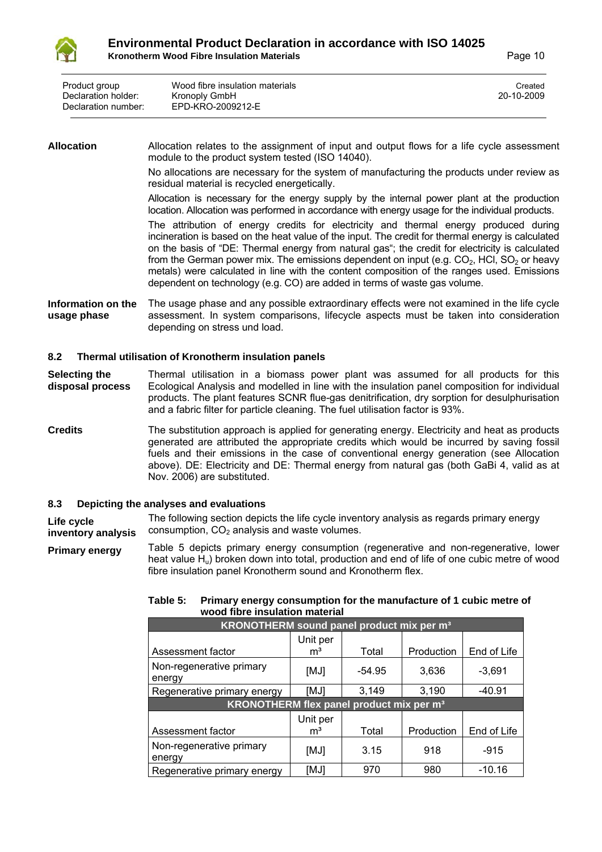

| Product group<br>Declaration holder:<br>Declaration number: | Wood fibre insulation materials<br>Kronoply GmbH<br>EPD-KRO-2009212-E | Created<br>20-10-2009 |
|-------------------------------------------------------------|-----------------------------------------------------------------------|-----------------------|
|                                                             |                                                                       |                       |

#### **Allocation** Allocation relates to the assignment of input and output flows for a life cycle assessment module to the product system tested (ISO 14040).

No allocations are necessary for the system of manufacturing the products under review as residual material is recycled energetically.

Allocation is necessary for the energy supply by the internal power plant at the production location. Allocation was performed in accordance with energy usage for the individual products.

The attribution of energy credits for electricity and thermal energy produced during incineration is based on the heat value of the input. The credit for thermal energy is calculated on the basis of "DE: Thermal energy from natural gas"; the credit for electricity is calculated from the German power mix. The emissions dependent on input (e.g.  $CO<sub>2</sub>$ , HCl, SO<sub>2</sub> or heavy metals) were calculated in line with the content composition of the ranges used. Emissions dependent on technology (e.g. CO) are added in terms of waste gas volume.

**Information on the usage phase** The usage phase and any possible extraordinary effects were not examined in the life cycle assessment. In system comparisons, lifecycle aspects must be taken into consideration depending on stress und load.

#### **8.2 Thermal utilisation of Kronotherm insulation panels**

**Selecting the disposal process** Thermal utilisation in a biomass power plant was assumed for all products for this Ecological Analysis and modelled in line with the insulation panel composition for individual products. The plant features SCNR flue-gas denitrification, dry sorption for desulphurisation and a fabric filter for particle cleaning. The fuel utilisation factor is 93%.

**Credits** The substitution approach is applied for generating energy. Electricity and heat as products generated are attributed the appropriate credits which would be incurred by saving fossil fuels and their emissions in the case of conventional energy generation (see Allocation above). DE: Electricity and DE: Thermal energy from natural gas (both GaBi 4, valid as at Nov. 2006) are substituted.

#### **8.3 Depicting the analyses and evaluations**

**Life cycle inventory analysis** The following section depicts the life cycle inventory analysis as regards primary energy consumption,  $CO<sub>2</sub>$  analysis and waste volumes.

**Primary energy** Table 5 depicts primary energy consumption (regenerative and non-regenerative, lower heat value H<sub>u</sub>) broken down into total, production and end of life of one cubic metre of wood fibre insulation panel Kronotherm sound and Kronotherm flex.

| wood fibre insulation material                        |                            |          |            |             |
|-------------------------------------------------------|----------------------------|----------|------------|-------------|
| KRONOTHERM sound panel product mix per m <sup>3</sup> |                            |          |            |             |
|                                                       | Unit per                   |          |            |             |
| Assessment factor                                     | m <sup>3</sup>             | Total    | Production | End of Life |
| Non-regenerative primary<br>energy                    | [MJ]                       | $-54.95$ | 3,636      | $-3,691$    |
| Regenerative primary energy                           | [MJ]                       | 3,149    | 3,190      | $-40.91$    |
| KRONOTHERM flex panel product mix per m <sup>3</sup>  |                            |          |            |             |
| Assessment factor                                     | Unit per<br>m <sup>3</sup> | Total    | Production | End of Life |
| Non-regenerative primary<br>energy                    | [MJ]                       | 3.15     | 918        | $-915$      |
| Regenerative primary energy                           | [MJ]                       | 970      | 980        | $-10.16$    |

#### **Table 5: Primary energy consumption for the manufacture of 1 cubic metre of wood fibre insulation material**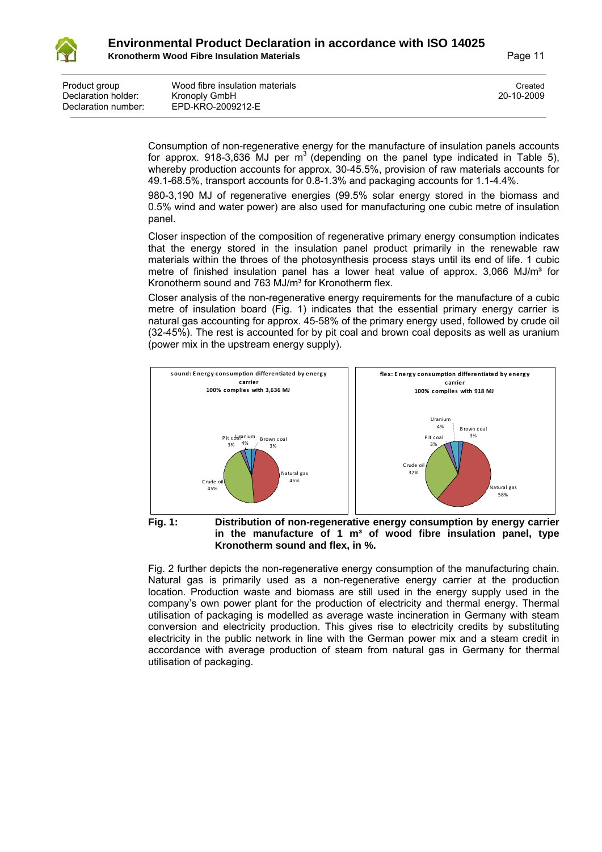

| Product group       | Wood fibre insulation materials | Created    |
|---------------------|---------------------------------|------------|
| Declaration holder: | Kronoply GmbH                   | 20-10-2009 |
| Declaration number: | EPD-KRO-2009212-E               |            |

Consumption of non-regenerative energy for the manufacture of insulation panels accounts for approx. 918-3,636 MJ per  $m<sup>3</sup>$  (depending on the panel type indicated in Table 5), whereby production accounts for approx. 30-45.5%, provision of raw materials accounts for 49.1-68.5%, transport accounts for 0.8-1.3% and packaging accounts for 1.1-4.4%.

980-3,190 MJ of regenerative energies (99.5% solar energy stored in the biomass and 0.5% wind and water power) are also used for manufacturing one cubic metre of insulation panel.

Closer inspection of the composition of regenerative primary energy consumption indicates that the energy stored in the insulation panel product primarily in the renewable raw materials within the throes of the photosynthesis process stays until its end of life. 1 cubic metre of finished insulation panel has a lower heat value of approx.  $3,066$  MJ/m<sup>3</sup> for Kronotherm sound and 763 MJ/m<sup>3</sup> for Kronotherm flex.

Closer analysis of the non-regenerative energy requirements for the manufacture of a cubic metre of insulation board (Fig. 1) indicates that the essential primary energy carrier is natural gas accounting for approx. 45-58% of the primary energy used, followed by crude oil (32-45%). The rest is accounted for by pit coal and brown coal deposits as well as uranium (power mix in the upstream energy supply).



#### **Fig. 1: Distribution of non-regenerative energy consumption by energy carrier in the manufacture of 1 m³ of wood fibre insulation panel, type Kronotherm sound and flex, in %.**

Fig. 2 further depicts the non-regenerative energy consumption of the manufacturing chain. Natural gas is primarily used as a non-regenerative energy carrier at the production location. Production waste and biomass are still used in the energy supply used in the company's own power plant for the production of electricity and thermal energy. Thermal utilisation of packaging is modelled as average waste incineration in Germany with steam conversion and electricity production. This gives rise to electricity credits by substituting electricity in the public network in line with the German power mix and a steam credit in accordance with average production of steam from natural gas in Germany for thermal utilisation of packaging.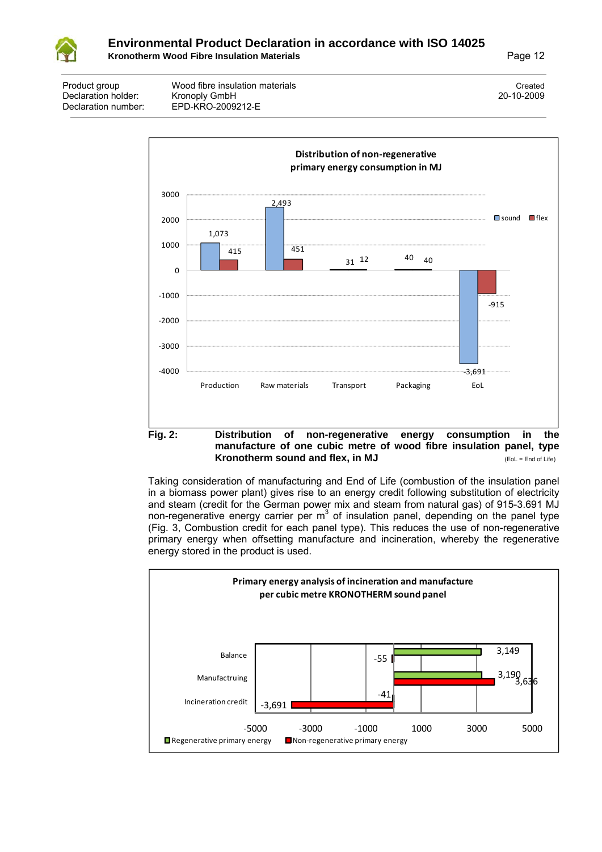

| Product group       | Wood fibre insulation materials | Created    |
|---------------------|---------------------------------|------------|
| Declaration holder: | Kronoply GmbH                   | 20-10-2009 |
| Declaration number: | EPD-KRO-2009212-E               |            |



## **manufacture of one cubic metre of wood fibre insulation panel, type Kronotherm sound and flex, in MJ COL = End of Life)**

Taking consideration of manufacturing and End of Life (combustion of the insulation panel in a biomass power plant) gives rise to an energy credit following substitution of electricity and steam (credit for the German power mix and steam from natural gas) of 915-3.691 MJ non-regenerative energy carrier per  $m<sup>3</sup>$  of insulation panel, depending on the panel type (Fig. 3, Combustion credit for each panel type). This reduces the use of non-regenerative primary energy when offsetting manufacture and incineration, whereby the regenerative energy stored in the product is used.

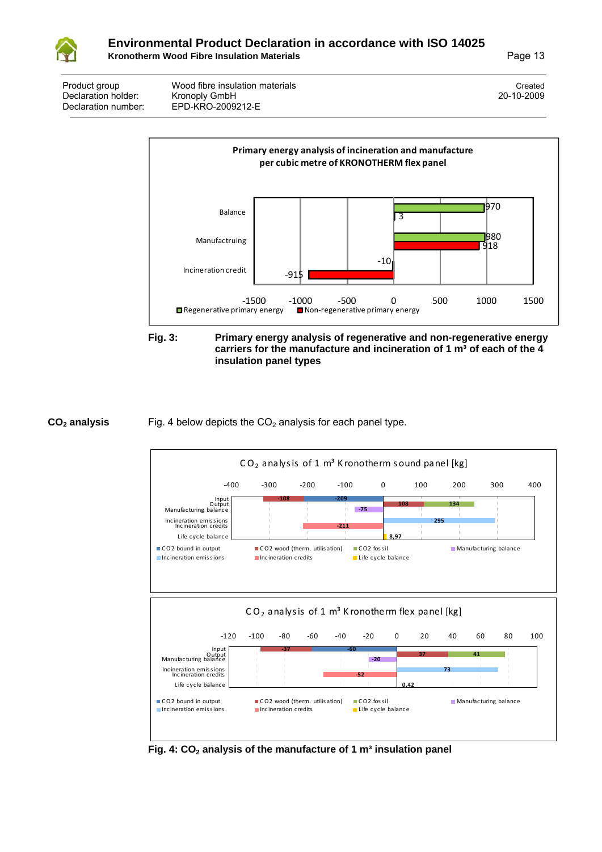

Product group Created Wood fibre insulation materials Created Created Created Created Declaration number: EPD-KRO-2009212-E

Declaration holder: Kronoply GmbH 20-10-2009





#### **CO<sub>2</sub> analysis** Fig. 4 below depicts the CO<sub>2</sub> analysis for each panel type.



Fig. 4: CO<sub>2</sub> analysis of the manufacture of 1 m<sup>3</sup> insulation panel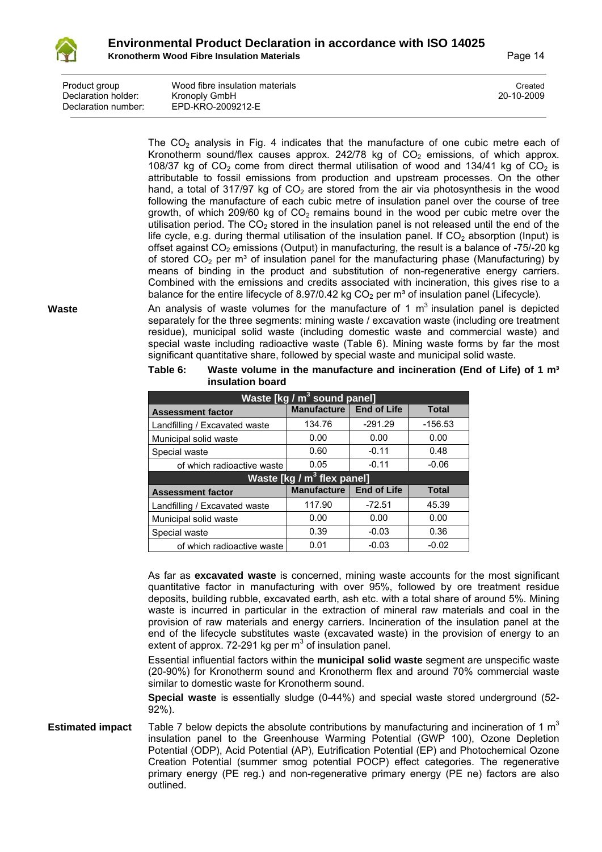

| Declaration holder:<br>Kronoply GmbH<br>EPD-KRO-2009212-E<br>Declaration number: | Product group | Wood fibre insulation materials | Created<br>20-10-2009 |
|----------------------------------------------------------------------------------|---------------|---------------------------------|-----------------------|
|----------------------------------------------------------------------------------|---------------|---------------------------------|-----------------------|

The  $CO<sub>2</sub>$  analysis in Fig. 4 indicates that the manufacture of one cubic metre each of Kronotherm sound/flex causes approx.  $242/78$  kg of  $CO<sub>2</sub>$  emissions, of which approx. 108/37 kg of  $CO<sub>2</sub>$  come from direct thermal utilisation of wood and 134/41 kg of  $CO<sub>2</sub>$  is attributable to fossil emissions from production and upstream processes. On the other hand, a total of 317/97 kg of  $CO<sub>2</sub>$  are stored from the air via photosynthesis in the wood following the manufacture of each cubic metre of insulation panel over the course of tree growth, of which 209/60 kg of  $CO<sub>2</sub>$  remains bound in the wood per cubic metre over the utilisation period. The  $CO<sub>2</sub>$  stored in the insulation panel is not released until the end of the life cycle, e.g. during thermal utilisation of the insulation panel. If  $CO<sub>2</sub>$  absorption (Input) is offset against  $CO<sub>2</sub>$  emissions (Output) in manufacturing, the result is a balance of -75/-20 kg of stored  $CO<sub>2</sub>$  per m<sup>3</sup> of insulation panel for the manufacturing phase (Manufacturing) by means of binding in the product and substitution of non-regenerative energy carriers. Combined with the emissions and credits associated with incineration, this gives rise to a balance for the entire lifecycle of 8.97/0.42 kg  $CO<sub>2</sub>$  per m<sup>3</sup> of insulation panel (Lifecycle).

**Waste** An analysis of waste volumes for the manufacture of 1 m<sup>3</sup> insulation panel is depicted separately for the three segments: mining waste / excavation waste (including ore treatment residue), municipal solid waste (including domestic waste and commercial waste) and special waste including radioactive waste (Table 6). Mining waste forms by far the most significant quantitative share, followed by special waste and municipal solid waste.

| Waste [kg / m <sup>3</sup> sound panel] |                                        |                    |              |  |  |
|-----------------------------------------|----------------------------------------|--------------------|--------------|--|--|
| <b>Assessment factor</b>                | <b>Manufacture</b>                     | <b>End of Life</b> | <b>Total</b> |  |  |
| Landfilling / Excavated waste           | 134.76                                 | $-291.29$          | $-156.53$    |  |  |
| Municipal solid waste                   | 0.00                                   | 0.00               | 0.00         |  |  |
| Special waste                           | 0.60                                   | $-0.11$            | 0.48         |  |  |
| of which radioactive waste              | 0.05                                   | $-0.11$            | $-0.06$      |  |  |
|                                         | Waste [kg / m <sup>3</sup> flex panel] |                    |              |  |  |
| <b>Assessment factor</b>                | <b>Manufacture</b>                     | <b>End of Life</b> | <b>Total</b> |  |  |
| Landfilling / Excavated waste           | 117.90                                 | $-72.51$           | 45.39        |  |  |
| Municipal solid waste                   | 0.00                                   | 0.00               | 0.00         |  |  |
| Special waste                           | 0.39                                   | $-0.03$            | 0.36         |  |  |
| of which radioactive waste              | 0.01                                   | $-0.03$            | $-0.02$      |  |  |

**Table 6: Waste volume in the manufacture and incineration (End of Life) of 1 m³ insulation board**

As far as **excavated waste** is concerned, mining waste accounts for the most significant quantitative factor in manufacturing with over 95%, followed by ore treatment residue deposits, building rubble, excavated earth, ash etc. with a total share of around 5%. Mining waste is incurred in particular in the extraction of mineral raw materials and coal in the provision of raw materials and energy carriers. Incineration of the insulation panel at the end of the lifecycle substitutes waste (excavated waste) in the provision of energy to an extent of approx. 72-291 kg per  $m^3$  of insulation panel.

Essential influential factors within the **municipal solid waste** segment are unspecific waste (20-90%) for Kronotherm sound and Kronotherm flex and around 70% commercial waste similar to domestic waste for Kronotherm sound.

**Special waste** is essentially sludge (0-44%) and special waste stored underground (52- 92%).

**Estimated impact** Table 7 below depicts the absolute contributions by manufacturing and incineration of 1 m<sup>3</sup> insulation panel to the Greenhouse Warming Potential (GWP 100), Ozone Depletion Potential (ODP), Acid Potential (AP), Eutrification Potential (EP) and Photochemical Ozone Creation Potential (summer smog potential POCP) effect categories. The regenerative primary energy (PE reg.) and non-regenerative primary energy (PE ne) factors are also outlined.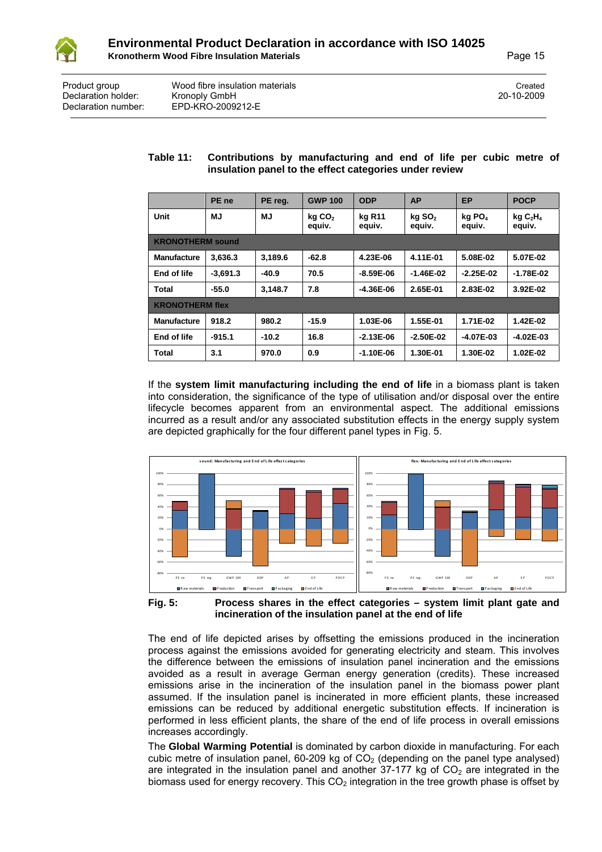

| Product group       | Wood fibre insulation materials | Created    |
|---------------------|---------------------------------|------------|
| Declaration holder: | Kronoply GmbH                   | 20-10-2009 |
| Declaration number: | EPD-KRO-2009212-E               |            |

#### **Table 11: Contributions by manufacturing and end of life per cubic metre of insulation panel to the effect categories under review**

|                         | PE ne      | PE reg.   | <b>GWP 100</b>               | <b>ODP</b>       | <b>AP</b>                      | <b>EP</b>                    | <b>POCP</b>                               |
|-------------------------|------------|-----------|------------------------------|------------------|--------------------------------|------------------------------|-------------------------------------------|
| Unit                    | MJ.        | <b>MJ</b> | kg CO <sub>2</sub><br>equiv. | kg R11<br>equiv. | $kg$ SO <sub>2</sub><br>equiv. | kg PO <sub>4</sub><br>equiv. | kgC <sub>2</sub> H <sub>4</sub><br>equiv. |
| <b>KRONOTHERM sound</b> |            |           |                              |                  |                                |                              |                                           |
| <b>Manufacture</b>      | 3,636.3    | 3,189.6   | $-62.8$                      | 4.23E-06         | 4.11E-01                       | 5.08E-02                     | 5.07E-02                                  |
| End of life             | $-3,691.3$ | $-40.9$   | 70.5                         | $-8.59E-06$      | $-1.46E - 02$                  | $-2.25E-02$                  | $-1.78E - 02$                             |
| <b>Total</b>            | $-55.0$    | 3.148.7   | 7.8                          | $-4.36E-06$      | 2.65E-01                       | 2.83E-02                     | 3.92E-02                                  |
| <b>KRONOTHERM flex</b>  |            |           |                              |                  |                                |                              |                                           |
| <b>Manufacture</b>      | 918.2      | 980.2     | $-15.9$                      | 1.03E-06         | 1.55E-01                       | 1.71E-02                     | 1.42E-02                                  |
| End of life             | $-915.1$   | $-10.2$   | 16.8                         | $-2.13E-06$      | $-2.50E-02$                    | $-4.07E-03$                  | $-4.02E-03$                               |
| Total                   | 3.1        | 970.0     | 0.9                          | $-1.10E-06$      | 1.30E-01                       | 1.30E-02                     | 1.02E-02                                  |

If the **system limit manufacturing including the end of life** in a biomass plant is taken into consideration, the significance of the type of utilisation and/or disposal over the entire lifecycle becomes apparent from an environmental aspect. The additional emissions incurred as a result and/or any associated substitution effects in the energy supply system are depicted graphically for the four different panel types in Fig. 5.



**Fig. 5: Process shares in the effect categories – system limit plant gate and incineration of the insulation panel at the end of life**

The end of life depicted arises by offsetting the emissions produced in the incineration process against the emissions avoided for generating electricity and steam. This involves the difference between the emissions of insulation panel incineration and the emissions avoided as a result in average German energy generation (credits). These increased emissions arise in the incineration of the insulation panel in the biomass power plant assumed. If the insulation panel is incinerated in more efficient plants, these increased emissions can be reduced by additional energetic substitution effects. If incineration is performed in less efficient plants, the share of the end of life process in overall emissions increases accordingly.

The **Global Warming Potential** is dominated by carbon dioxide in manufacturing. For each cubic metre of insulation panel,  $60-209$  kg of  $CO<sub>2</sub>$  (depending on the panel type analysed) are integrated in the insulation panel and another  $37-177$  kg of  $CO<sub>2</sub>$  are integrated in the biomass used for energy recovery. This  $CO<sub>2</sub>$  integration in the tree growth phase is offset by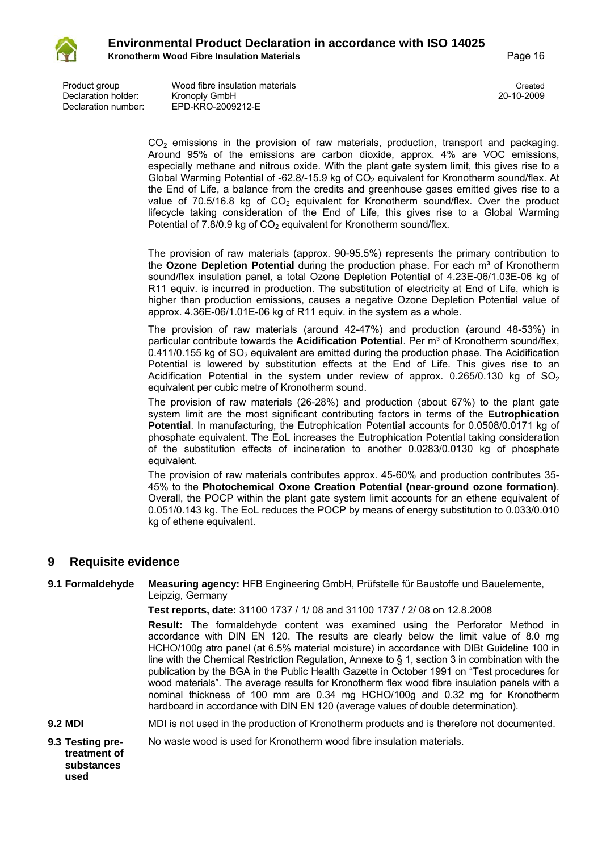

| Product group       | Wood fibre insulation materials | Created    |
|---------------------|---------------------------------|------------|
| Declaration holder: | Kronoply GmbH                   | 20-10-2009 |
| Declaration number: | EPD-KRO-2009212-E               |            |

 $CO<sub>2</sub>$  emissions in the provision of raw materials, production, transport and packaging. Around 95% of the emissions are carbon dioxide, approx. 4% are VOC emissions, especially methane and nitrous oxide. With the plant gate system limit, this gives rise to a Global Warming Potential of -62.8/-15.9 kg of  $CO<sub>2</sub>$  equivalent for Kronotherm sound/flex. At the End of Life, a balance from the credits and greenhouse gases emitted gives rise to a value of 70.5/16.8 kg of  $CO<sub>2</sub>$  equivalent for Kronotherm sound/flex. Over the product lifecycle taking consideration of the End of Life, this gives rise to a Global Warming Potential of  $7.8/0.9$  kg of  $CO<sub>2</sub>$  equivalent for Kronotherm sound/flex.

The provision of raw materials (approx. 90-95.5%) represents the primary contribution to the **Ozone Depletion Potential** during the production phase. For each m<sup>3</sup> of Kronotherm sound/flex insulation panel, a total Ozone Depletion Potential of 4.23E-06/1.03E-06 kg of R11 equiv. is incurred in production. The substitution of electricity at End of Life, which is higher than production emissions, causes a negative Ozone Depletion Potential value of approx. 4.36E-06/1.01E-06 kg of R11 equiv. in the system as a whole.

The provision of raw materials (around 42-47%) and production (around 48-53%) in particular contribute towards the **Acidification Potential**. Per m<sup>3</sup> of Kronotherm sound/flex,  $0.411/0.155$  kg of  $SO<sub>2</sub>$  equivalent are emitted during the production phase. The Acidification Potential is lowered by substitution effects at the End of Life. This gives rise to an Acidification Potential in the system under review of approx.  $0.265/0.130$  kg of  $SO<sub>2</sub>$ equivalent per cubic metre of Kronotherm sound.

The provision of raw materials (26-28%) and production (about 67%) to the plant gate system limit are the most significant contributing factors in terms of the **Eutrophication Potential**. In manufacturing, the Eutrophication Potential accounts for 0.0508/0.0171 kg of phosphate equivalent. The EoL increases the Eutrophication Potential taking consideration of the substitution effects of incineration to another 0.0283/0.0130 kg of phosphate equivalent.

The provision of raw materials contributes approx. 45-60% and production contributes 35- 45% to the **Photochemical Oxone Creation Potential (near-ground ozone formation)**. Overall, the POCP within the plant gate system limit accounts for an ethene equivalent of 0.051/0.143 kg. The EoL reduces the POCP by means of energy substitution to 0.033/0.010 kg of ethene equivalent.

## **9 Requisite evidence**

#### **9.1 Formaldehyde Measuring agency:** HFB Engineering GmbH, Prüfstelle für Baustoffe und Bauelemente, Leipzig, Germany

**Test reports, date:** 31100 1737 / 1/ 08 and 31100 1737 / 2/ 08 on 12.8.2008

**Result:** The formaldehyde content was examined using the Perforator Method in accordance with DIN EN 120. The results are clearly below the limit value of 8.0 mg HCHO/100g atro panel (at 6.5% material moisture) in accordance with DIBt Guideline 100 in line with the Chemical Restriction Regulation, Annexe to § 1, section 3 in combination with the publication by the BGA in the Public Health Gazette in October 1991 on "Test procedures for wood materials". The average results for Kronotherm flex wood fibre insulation panels with a nominal thickness of 100 mm are 0.34 mg HCHO/100g and 0.32 mg for Kronotherm hardboard in accordance with DIN EN 120 (average values of double determination).

- **9.2 MDI MDI** is not used in the production of Kronotherm products and is therefore not documented.
- **9.3 Testing pre-**No waste wood is used for Kronotherm wood fibre insulation materials.
- **treatment of substances used**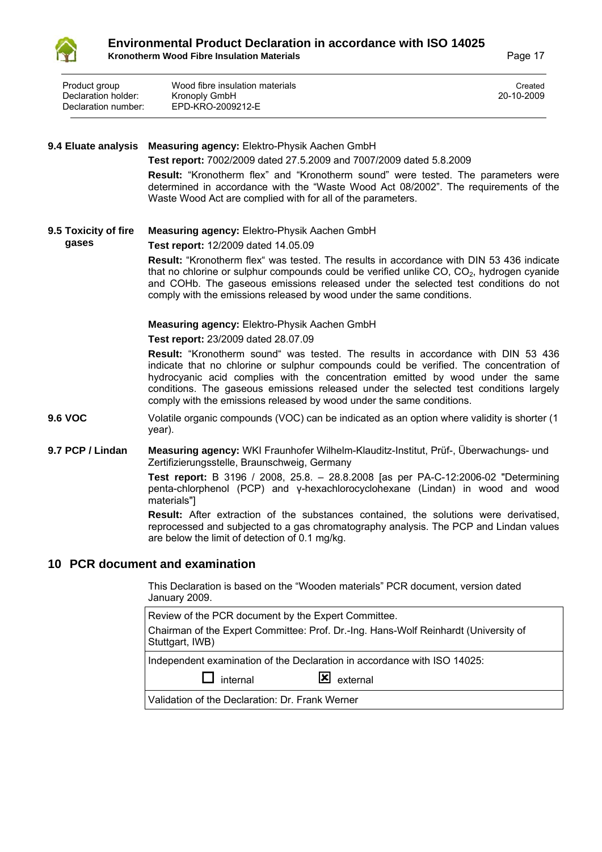

| Product group       | Wood fibre insulation materials | Created    |
|---------------------|---------------------------------|------------|
| Declaration holder: | Kronoply GmbH                   | 20-10-2009 |
| Declaration number: | EPD-KRO-2009212-E               |            |

#### **9.4 Eluate analysis Measuring agency:** Elektro-Physik Aachen GmbH **Test report:** 7002/2009 dated 27.5.2009 and 7007/2009 dated 5.8.2009 **Result:** "Kronotherm flex" and "Kronotherm sound" were tested. The parameters were determined in accordance with the "Waste Wood Act 08/2002". The requirements of the Waste Wood Act are complied with for all of the parameters. **9.5 Toxicity of fire gases Measuring agency:** Elektro-Physik Aachen GmbH **Test report:** 12/2009 dated 14.05.09 **Result:** "Kronotherm flex" was tested. The results in accordance with DIN 53 436 indicate that no chlorine or sulphur compounds could be verified unlike  $CO$ ,  $CO<sub>2</sub>$ , hydrogen cyanide and COHb. The gaseous emissions released under the selected test conditions do not

comply with the emissions released by wood under the same conditions.

#### **Measuring agency:** Elektro-Physik Aachen GmbH

#### **Test report:** 23/2009 dated 28.07.09

**Result:** "Kronotherm sound" was tested. The results in accordance with DIN 53 436 indicate that no chlorine or sulphur compounds could be verified. The concentration of hydrocyanic acid complies with the concentration emitted by wood under the same conditions. The gaseous emissions released under the selected test conditions largely comply with the emissions released by wood under the same conditions.

- **9.6 VOC** Volatile organic compounds (VOC) can be indicated as an option where validity is shorter (1 year).
- **9.7 PCP / Lindan Measuring agency:** WKI Fraunhofer Wilhelm-Klauditz-Institut, Prüf-, Überwachungs- und Zertifizierungsstelle, Braunschweig, Germany

**Test report:** B 3196 / 2008, 25.8. – 28.8.2008 [as per PA-C-12:2006-02 "Determining penta-chlorphenol (PCP) and γ-hexachlorocyclohexane (Lindan) in wood and wood materials"]

**Result:** After extraction of the substances contained, the solutions were derivatised, reprocessed and subjected to a gas chromatography analysis. The PCP and Lindan values are below the limit of detection of 0.1 mg/kg.

#### **10 PCR document and examination**

This Declaration is based on the "Wooden materials" PCR document, version dated January 2009.

| Review of the PCR document by the Expert Committee.                                                    |  |  |  |  |
|--------------------------------------------------------------------------------------------------------|--|--|--|--|
| Chairman of the Expert Committee: Prof. Dr.-Ing. Hans-Wolf Reinhardt (University of<br>Stuttgart, IWB) |  |  |  |  |
| Independent examination of the Declaration in accordance with ISO 14025:                               |  |  |  |  |
| $\mathbf{X}$ external<br>internal                                                                      |  |  |  |  |
| Validation of the Declaration: Dr. Frank Werner                                                        |  |  |  |  |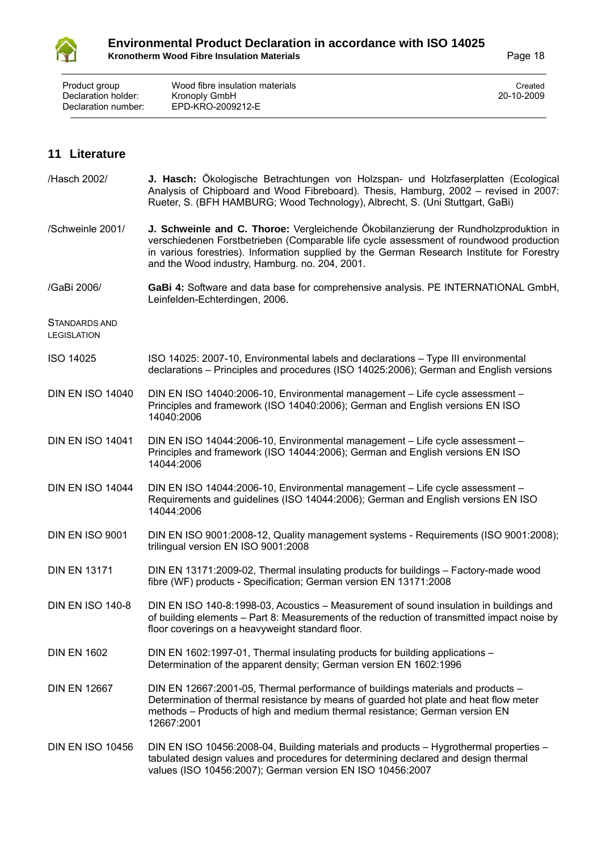

| Product group       | Wood fibre insulation materials | Created    |
|---------------------|---------------------------------|------------|
| Declaration holder: | Kronoply GmbH                   | 20-10-2009 |
| Declaration number: | EPD-KRO-2009212-E               |            |

## **11 Literature**

| /Hasch 2002/                        | J. Hasch: Ökologische Betrachtungen von Holzspan- und Holzfaserplatten (Ecological<br>Analysis of Chipboard and Wood Fibreboard). Thesis, Hamburg, 2002 - revised in 2007:<br>Rueter, S. (BFH HAMBURG; Wood Technology), Albrecht, S. (Uni Stuttgart, GaBi)                                                                   |
|-------------------------------------|-------------------------------------------------------------------------------------------------------------------------------------------------------------------------------------------------------------------------------------------------------------------------------------------------------------------------------|
| /Schweinle 2001/                    | J. Schweinle and C. Thoroe: Vergleichende Ökobilanzierung der Rundholzproduktion in<br>verschiedenen Forstbetrieben (Comparable life cycle assessment of roundwood production<br>in various forestries). Information supplied by the German Research Institute for Forestry<br>and the Wood industry, Hamburg. no. 204, 2001. |
| /GaBi 2006/                         | GaBi 4: Software and data base for comprehensive analysis. PE INTERNATIONAL GmbH,<br>Leinfelden-Echterdingen, 2006.                                                                                                                                                                                                           |
| STANDARDS AND<br><b>LEGISLATION</b> |                                                                                                                                                                                                                                                                                                                               |
| <b>ISO 14025</b>                    | ISO 14025: 2007-10, Environmental labels and declarations - Type III environmental<br>declarations - Principles and procedures (ISO 14025:2006); German and English versions                                                                                                                                                  |
| <b>DIN EN ISO 14040</b>             | DIN EN ISO 14040:2006-10, Environmental management - Life cycle assessment -<br>Principles and framework (ISO 14040:2006); German and English versions EN ISO<br>14040:2006                                                                                                                                                   |
| <b>DIN EN ISO 14041</b>             | DIN EN ISO 14044:2006-10, Environmental management - Life cycle assessment -<br>Principles and framework (ISO 14044:2006); German and English versions EN ISO<br>14044:2006                                                                                                                                                   |
| <b>DIN EN ISO 14044</b>             | DIN EN ISO 14044:2006-10, Environmental management - Life cycle assessment -<br>Requirements and guidelines (ISO 14044:2006); German and English versions EN ISO<br>14044:2006                                                                                                                                                |
| <b>DIN EN ISO 9001</b>              | DIN EN ISO 9001:2008-12, Quality management systems - Requirements (ISO 9001:2008);<br>trilingual version EN ISO 9001:2008                                                                                                                                                                                                    |
| <b>DIN EN 13171</b>                 | DIN EN 13171:2009-02, Thermal insulating products for buildings - Factory-made wood<br>fibre (WF) products - Specification; German version EN 13171:2008                                                                                                                                                                      |
| <b>DIN EN ISO 140-8</b>             | DIN EN ISO 140-8:1998-03, Acoustics - Measurement of sound insulation in buildings and<br>of building elements – Part 8: Measurements of the reduction of transmitted impact noise by<br>floor coverings on a heavyweight standard floor.                                                                                     |
| <b>DIN EN 1602</b>                  | DIN EN 1602:1997-01, Thermal insulating products for building applications -<br>Determination of the apparent density; German version EN 1602:1996                                                                                                                                                                            |
| <b>DIN EN 12667</b>                 | DIN EN 12667:2001-05, Thermal performance of buildings materials and products -<br>Determination of thermal resistance by means of guarded hot plate and heat flow meter<br>methods - Products of high and medium thermal resistance; German version EN<br>12667:2001                                                         |
| <b>DIN EN ISO 10456</b>             | DIN EN ISO 10456:2008-04, Building materials and products - Hygrothermal properties -<br>tabulated design values and procedures for determining declared and design thermal<br>values (ISO 10456:2007); German version EN ISO 10456:2007                                                                                      |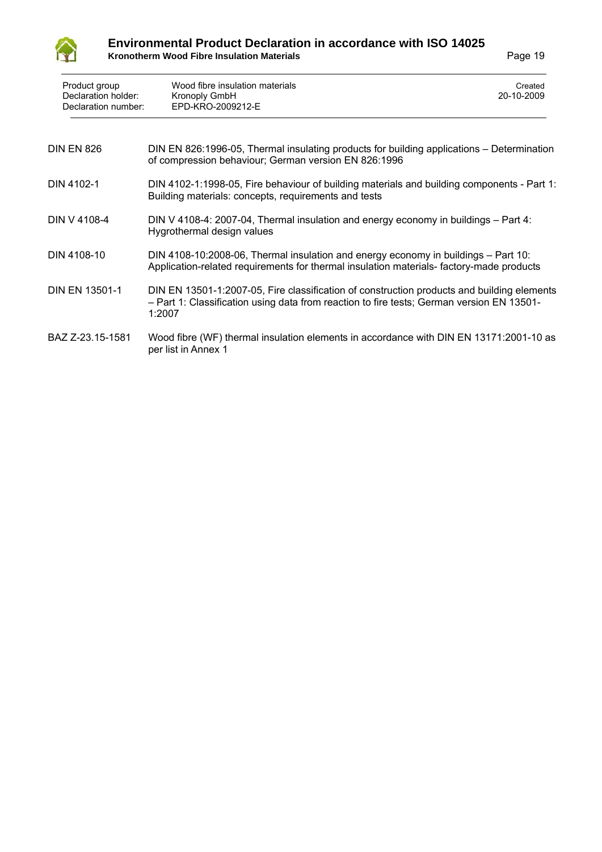

## **Environmental Product Declaration in accordance with ISO 14025 Kronotherm Wood Fibre Insulation Materials <b>Constanting Constanting Constanting Constanting Constanting Constanting Constanting Page 19**

| Product group<br>Declaration holder:<br>Declaration number: | Wood fibre insulation materials<br><b>Kronoply GmbH</b><br>EPD-KRO-2009212-E                                                                                                                      | Created<br>20-10-2009 |
|-------------------------------------------------------------|---------------------------------------------------------------------------------------------------------------------------------------------------------------------------------------------------|-----------------------|
| <b>DIN EN 826</b>                                           | DIN EN 826:1996-05, Thermal insulating products for building applications – Determination<br>of compression behaviour; German version EN 826:1996                                                 |                       |
| DIN 4102-1                                                  | DIN 4102-1:1998-05, Fire behaviour of building materials and building components - Part 1:<br>Building materials: concepts, requirements and tests                                                |                       |
| DIN V 4108-4                                                | DIN V 4108-4: 2007-04, Thermal insulation and energy economy in buildings – Part 4:<br>Hygrothermal design values                                                                                 |                       |
| DIN 4108-10                                                 | DIN 4108-10:2008-06, Thermal insulation and energy economy in buildings - Part 10:<br>Application-related requirements for thermal insulation materials-factory-made products                     |                       |
| <b>DIN EN 13501-1</b>                                       | DIN EN 13501-1:2007-05, Fire classification of construction products and building elements<br>- Part 1: Classification using data from reaction to fire tests; German version EN 13501-<br>1:2007 |                       |
| BAZ Z-23.15-1581                                            | Wood fibre (WF) thermal insulation elements in accordance with DIN EN 13171:2001-10 as<br>per list in Annex 1                                                                                     |                       |